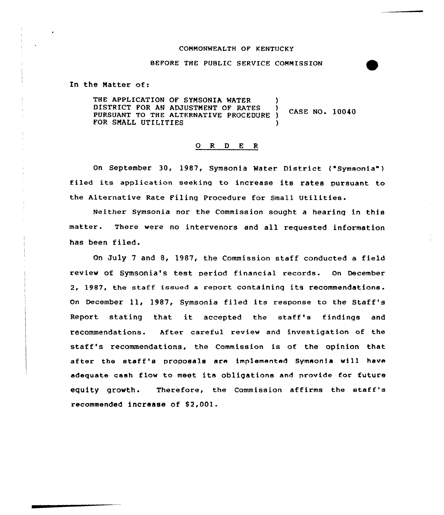## COMMONWEALTH OF KENTUCKY

### BEFORE THE PUBLIC SERVICE COMMISSION

In the Natter of:

THE APPLICATION OF SYMSONIA WATER  $\vert$ DISTRICT FOR AN ADJUSTMENT OF RATES CASE NO. 10040 PURSUANT TO THE ALTERNATIVE PROCEDURE ) FOR SMALL UTILITIES

#### 0 R <sup>D</sup> E <sup>R</sup>

On September 30, 1987, Symsonia Water District ("Symsonia") filed its application seeking to increase its rates pursuant to the Alternative Rate Filing Procedure for Small Utilities.

Neither Symsonia nor the Commission sought a hearing in this matter. There were no intervenors and all requested information has been filed.

On July <sup>7</sup> and 8, 1987, the Commission staff conducted a field review of Symsonia's test period financial records. On December 2, 1987, the staff issued a report containing its recommendations. On December ll, 1987, Symsonia filed its response to the Staff's Report stating that it accepted the staff's findings and recommendations. After careful review and investigation of the staff's recommendations, the Commission is of the opinion that after the staff's proposals are implemented Symsonia will have adequate cash flow to meet its obligations and provide for future equity growth. Therefore, the Commission affirms the staff's recommended increase of \$2,001.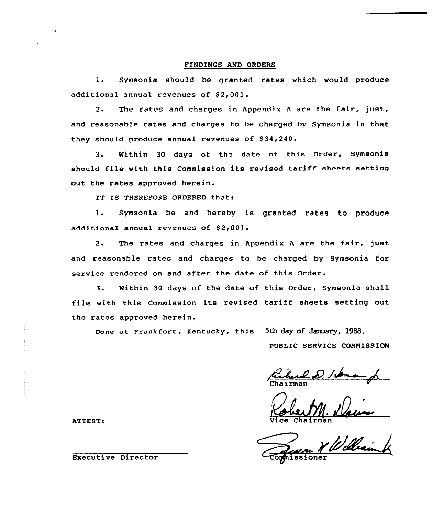#### FINDINGS AND ORDERS

1. Symsonia should be granted rates which would produce additional annual revenues of \$2,001.

2. The rates and charges in Appendix <sup>A</sup> are the fair, just, and reasonable rates and charges to be charged by Symsonia in that they should produce annual revenues of S34,240.

3. Within <sup>30</sup> days of the date of this Order, Symsonia should file with this Commission its revised tariff sheets setting out the rates approved herein.

IT IS THEREFORE ORDERED that:

1. Symsonia be and hereby is granted rates to produce additional annual revenues of \$2,001.

2. The rates and charges in Appendix <sup>A</sup> are the fair, just and reasonable rates and charges to be charged by Symsonia for service rendered on and after the date of this Order.

3. Within 30 days of the date of this Order, Symsonia shall file with this Commission its revised tariff sheets setting out the rates approved herein.

Done at Frankfort, Kentucky< this 5th day of January, 1988.

PUBLIC SERVICE COMMISSION

ATTEST:  $\sqrt{1}$ ce Chairman

Executive Director Compositioner